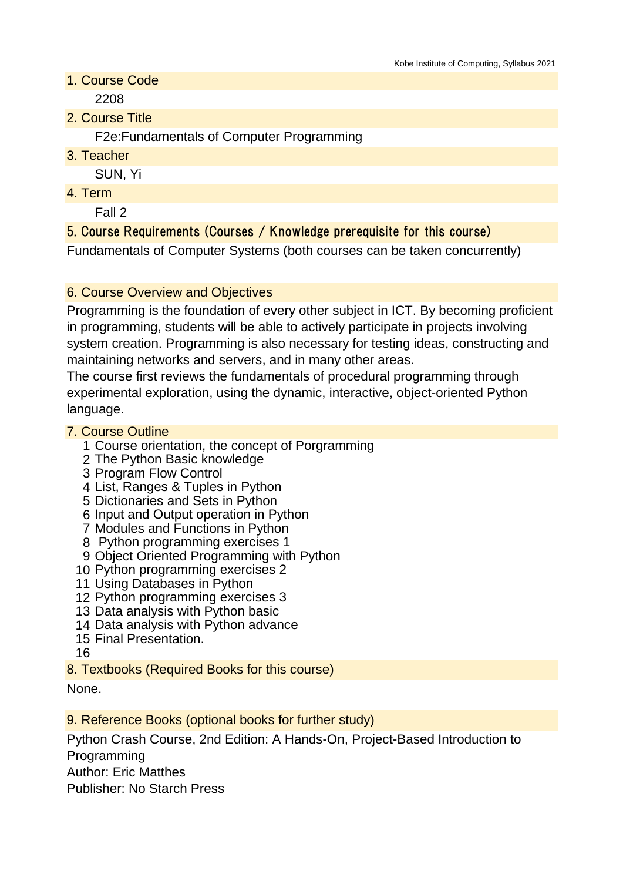- 1. Course Code 2208
- 2. Course Title

F2e:Fundamentals of Computer Programming

3. Teacher

SUN, Yi

4. Term

Fall 2

# 5. Course Requirements (Courses / Knowledge prerequisite for this course)

Fundamentals of Computer Systems (both courses can be taken concurrently)

## 6. Course Overview and Objectives

Programming is the foundation of every other subject in ICT. By becoming proficient in programming, students will be able to actively participate in projects involving system creation. Programming is also necessary for testing ideas, constructing and maintaining networks and servers, and in many other areas.

The course first reviews the fundamentals of procedural programming through experimental exploration, using the dynamic, interactive, object-oriented Python language.

### 7. Course Outline

- 1 Course orientation, the concept of Porgramming
- 2 The Python Basic knowledge
- 3 Program Flow Control
- 4 List, Ranges & Tuples in Python
- 5 Dictionaries and Sets in Python
- 6 Input and Output operation in Python
- 7 Modules and Functions in Python
- 8 Python programming exercises 1
- 9 Object Oriented Programming with Python
- 10 Python programming exercises 2
- 11 Using Databases in Python
- 12 Python programming exercises 3
- 13 Data analysis with Python basic
- 14 Data analysis with Python advance
- 15 Final Presentation.
- 16
- 8. Textbooks (Required Books for this course)

None.

9. Reference Books (optional books for further study)

Python Crash Course, 2nd Edition: A Hands-On, Project-Based Introduction to Programming

Author: Eric Matthes

Publisher: No Starch Press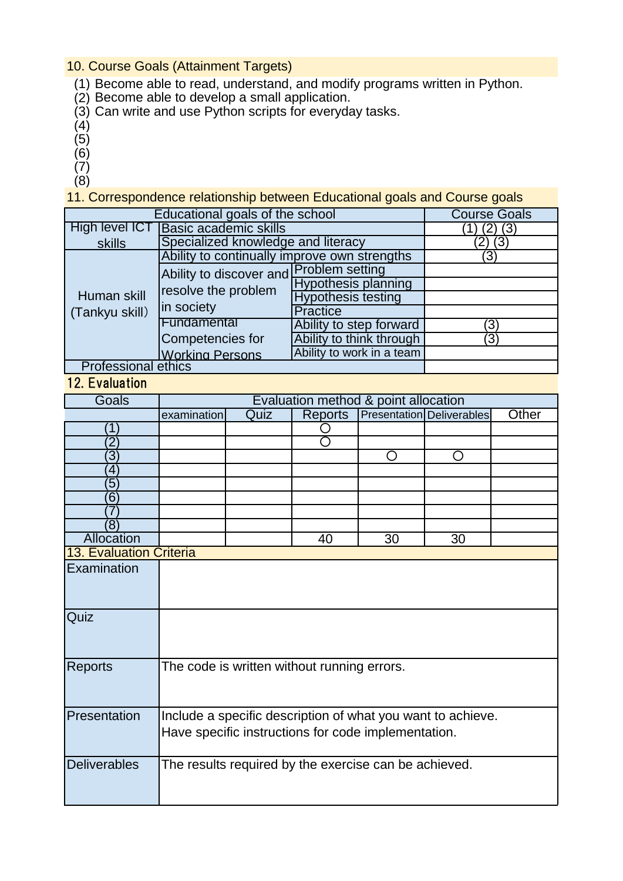#### 10. Course Goals (Attainment Targets)

- (1) Become able to read, understand, and modify programs written in Python.
- (2) Become able to develop a small application.
- (3) Can write and use Python scripts for everyday tasks.
- (4)
- (5)
- (6)
- (7)
- (8)

11. Correspondence relationship between Educational goals and Course goals

| Educational goals of the school | <b>Course Goals</b>                                                          |                            |                  |
|---------------------------------|------------------------------------------------------------------------------|----------------------------|------------------|
| High level ICT                  | <b>Basic academic skills</b>                                                 | (3)                        |                  |
| skills                          | Specialized knowledge and literacy                                           | (3)                        |                  |
| Human skill<br>(Tankyu skill)   | Ability to continually improve own strengths                                 |                            | $\left(3\right)$ |
|                                 | Ability to discover and Problem setting<br>resolve the problem<br>in society |                            |                  |
|                                 |                                                                              | <b>Hypothesis planning</b> |                  |
|                                 |                                                                              | <b>Hypothesis testing</b>  |                  |
|                                 |                                                                              | Practice                   |                  |
|                                 | Fundamental                                                                  | Ability to step forward    | 3                |
|                                 | Competencies for                                                             | Ability to think through   | (3               |
|                                 | <b>Working Persons</b>                                                       | Ability to work in a team  |                  |
| <b>Professional ethics</b>      |                                                                              |                            |                  |

#### 12. Evaluation

| $\mathsf{L}$ . $\mathsf{L}$ vergences |                                                                                                                    |      |                |    |                                  |       |
|---------------------------------------|--------------------------------------------------------------------------------------------------------------------|------|----------------|----|----------------------------------|-------|
| Goals                                 | Evaluation method & point allocation                                                                               |      |                |    |                                  |       |
|                                       | examination                                                                                                        | Quiz | <b>Reports</b> |    | <b>Presentation Deliverables</b> | Other |
| Τ                                     |                                                                                                                    |      |                |    |                                  |       |
| $\overline{2}$                        |                                                                                                                    |      | ◯              |    |                                  |       |
| $\overline{3}$                        |                                                                                                                    |      |                | O  | O                                |       |
| 4                                     |                                                                                                                    |      |                |    |                                  |       |
| 5                                     |                                                                                                                    |      |                |    |                                  |       |
| 6                                     |                                                                                                                    |      |                |    |                                  |       |
|                                       |                                                                                                                    |      |                |    |                                  |       |
| (8)                                   |                                                                                                                    |      |                |    |                                  |       |
| Allocation                            |                                                                                                                    |      | 40             | 30 | 30                               |       |
| 13. Evaluation Criteria               |                                                                                                                    |      |                |    |                                  |       |
| Examination                           |                                                                                                                    |      |                |    |                                  |       |
| Quiz                                  |                                                                                                                    |      |                |    |                                  |       |
| <b>Reports</b>                        | The code is written without running errors.                                                                        |      |                |    |                                  |       |
| Presentation                          | Include a specific description of what you want to achieve.<br>Have specific instructions for code implementation. |      |                |    |                                  |       |
| <b>Deliverables</b>                   | The results required by the exercise can be achieved.                                                              |      |                |    |                                  |       |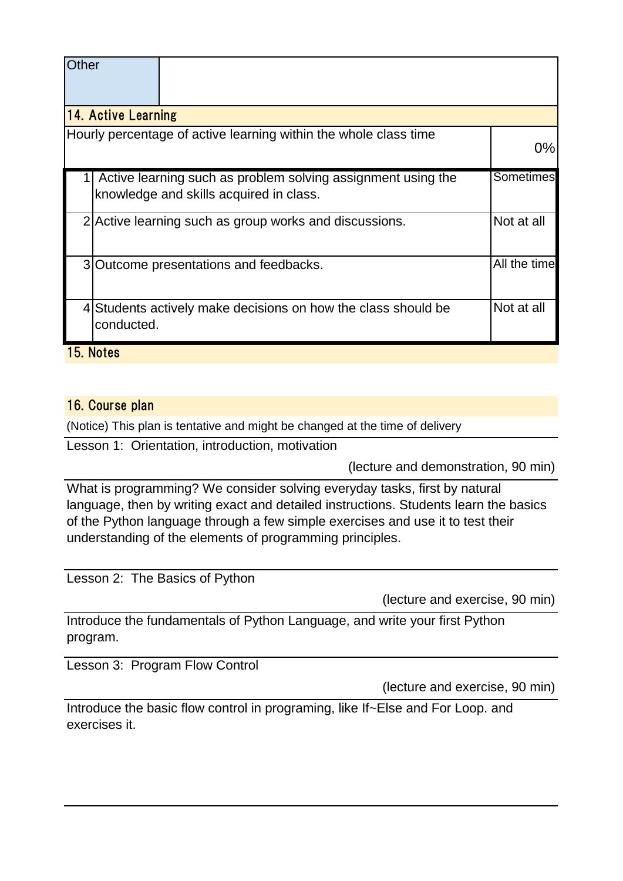| Other                                                                                                   |            |                                                                  |                  |  |
|---------------------------------------------------------------------------------------------------------|------------|------------------------------------------------------------------|------------------|--|
| <b>14. Active Learning</b>                                                                              |            |                                                                  |                  |  |
|                                                                                                         |            | Hourly percentage of active learning within the whole class time | $0\%$            |  |
| Active learning such as problem solving assignment using the<br>knowledge and skills acquired in class. |            |                                                                  | <b>Sometimes</b> |  |
|                                                                                                         |            | 2 Active learning such as group works and discussions.           | Not at all       |  |
|                                                                                                         |            | 3 Outcome presentations and feedbacks.                           | All the time     |  |
|                                                                                                         | conducted. | 4 Students actively make decisions on how the class should be    | Not at all       |  |
|                                                                                                         | 15. Notes  |                                                                  |                  |  |

### 16. Course plan

(Notice) This plan is tentative and might be changed at the time of delivery

Lesson 1: Orientation, introduction, motivation

(lecture and demonstration, 90 min)

What is programming? We consider solving everyday tasks, first by natural language, then by writing exact and detailed instructions. Students learn the basics of the Python language through a few simple exercises and use it to test their understanding of the elements of programming principles.

Lesson 2: The Basics of Python

(lecture and exercise, 90 min)

Introduce the fundamentals of Python Language, and write your first Python program.

Lesson 3: Program Flow Control

(lecture and exercise, 90 min)

Introduce the basic flow control in programing, like If~Else and For Loop. and exercises it.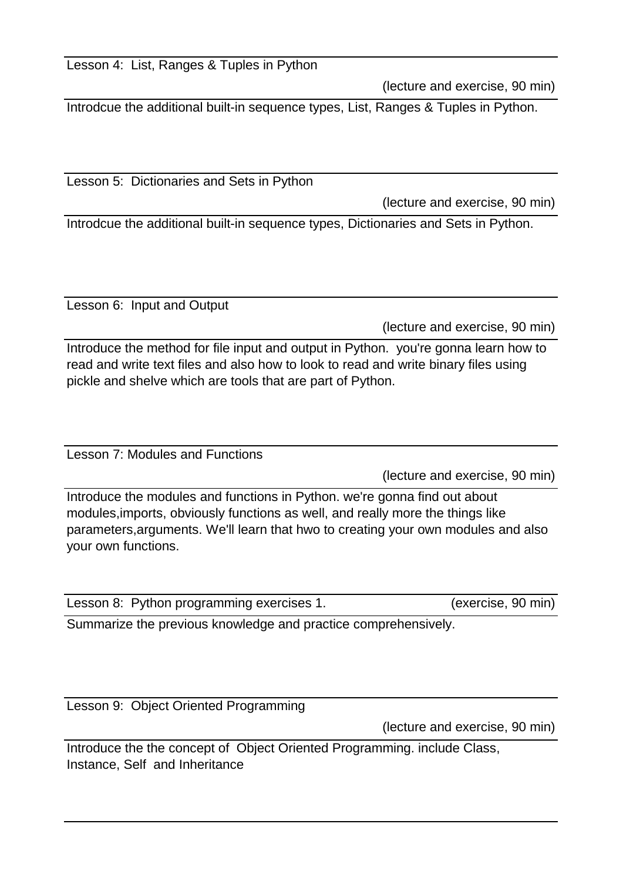Lesson 4: List, Ranges & Tuples in Python

(lecture and exercise, 90 min)

Introdcue the additional built-in sequence types, List, Ranges & Tuples in Python.

Lesson 5: Dictionaries and Sets in Python

(lecture and exercise, 90 min)

Introdcue the additional built-in sequence types, Dictionaries and Sets in Python.

Lesson 6: Input and Output

(lecture and exercise, 90 min)

Introduce the method for file input and output in Python. you're gonna learn how to read and write text files and also how to look to read and write binary files using pickle and shelve which are tools that are part of Python.

Lesson 7: Modules and Functions

(lecture and exercise, 90 min)

Introduce the modules and functions in Python. we're gonna find out about modules,imports, obviously functions as well, and really more the things like parameters,arguments. We'll learn that hwo to creating your own modules and also your own functions.

| Lesson 8: Python programming exercises 1. |  | (exercise, 90 min) |
|-------------------------------------------|--|--------------------|
|-------------------------------------------|--|--------------------|

Summarize the previous knowledge and practice comprehensively.

Lesson 9: Object Oriented Programming

(lecture and exercise, 90 min)

Introduce the the concept of Object Oriented Programming. include Class, Instance, Self and Inheritance